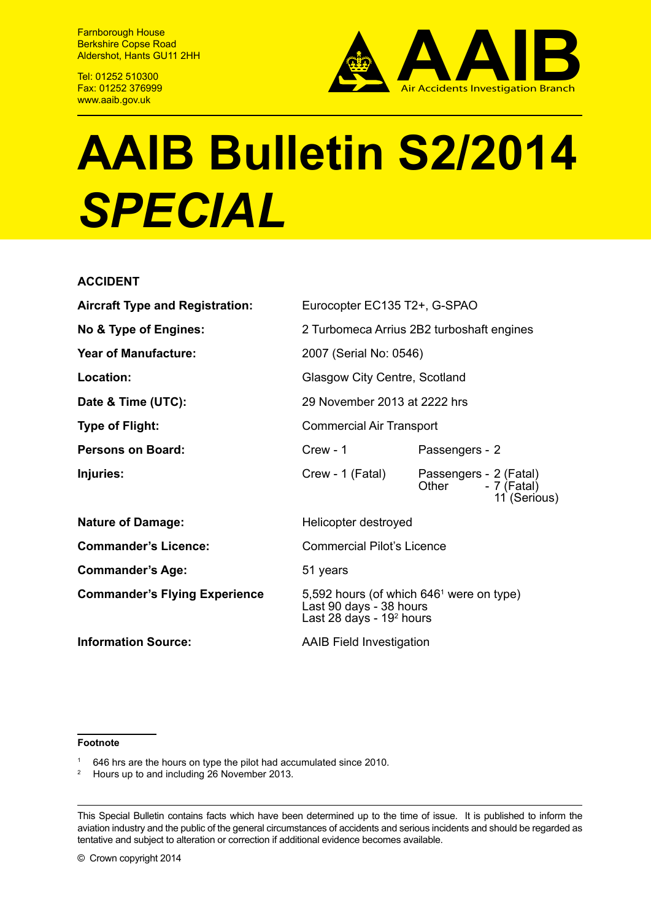Farnborough House Berkshire Copse Road Aldershot, Hants GU11 2HH

Tel: 01252 510300 Fax: 01252 376999 www.aaib.gov.uk



# **AAIB Bulletin S2/2014**  *SPECIAL*

## **ACCIDENT**

| <b>Aircraft Type and Registration:</b> | Eurocopter EC135 T2+, G-SPAO                                                                                  |                                                                |
|----------------------------------------|---------------------------------------------------------------------------------------------------------------|----------------------------------------------------------------|
| No & Type of Engines:                  | 2 Turbomeca Arrius 2B2 turboshaft engines                                                                     |                                                                |
| <b>Year of Manufacture:</b>            | 2007 (Serial No: 0546)                                                                                        |                                                                |
| Location:                              | Glasgow City Centre, Scotland                                                                                 |                                                                |
| Date & Time (UTC):                     | 29 November 2013 at 2222 hrs                                                                                  |                                                                |
| <b>Type of Flight:</b>                 | <b>Commercial Air Transport</b>                                                                               |                                                                |
| Persons on Board:                      | $C$ rew - 1                                                                                                   | Passengers - 2                                                 |
| Injuries:                              | Crew - 1 (Fatal)                                                                                              | Passengers - 2 (Fatal)<br>Other<br>- 7 (Fatal)<br>11 (Serious) |
| <b>Nature of Damage:</b>               | Helicopter destroyed                                                                                          |                                                                |
| <b>Commander's Licence:</b>            | <b>Commercial Pilot's Licence</b>                                                                             |                                                                |
| <b>Commander's Age:</b>                | 51 years                                                                                                      |                                                                |
| <b>Commander's Flying Experience</b>   | 5,592 hours (of which 646 <sup>1</sup> were on type)<br>Last 90 days - 38 hours<br>Last 28 days - $192$ hours |                                                                |
| <b>Information Source:</b>             | <b>AAIB Field Investigation</b>                                                                               |                                                                |

#### **Footnote**

<sup>1</sup> 646 hrs are the hours on type the pilot had accumulated since 2010.<br><sup>2</sup> Hours up to and including 26 November 2013

<sup>2</sup> Hours up to and including 26 November 2013.

This Special Bulletin contains facts which have been determined up to the time of issue. It is published to inform the aviation industry and the public of the general circumstances of accidents and serious incidents and should be regarded as tentative and subject to alteration or correction if additional evidence becomes available.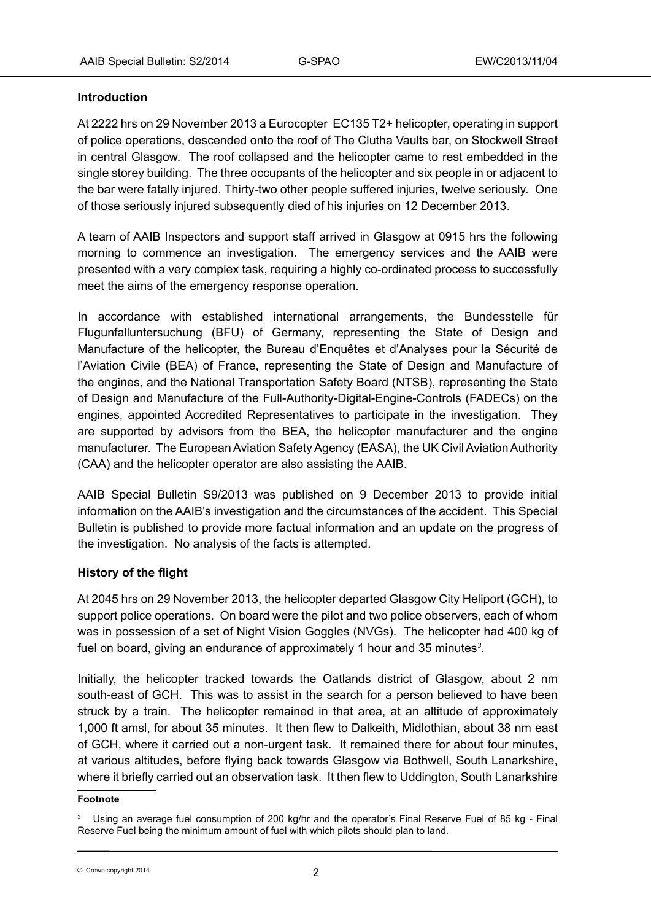# **Introduction**

At 2222 hrs on 29 November 2013 a Eurocopter EC135 T2+ helicopter, operating in support of police operations, descended onto the roof of The Clutha Vaults bar, on Stockwell Street in central Glasgow. The roof collapsed and the helicopter came to rest embedded in the single storey building. The three occupants of the helicopter and six people in or adjacent to the bar were fatally injured. Thirty-two other people suffered injuries, twelve seriously. One of those seriously injured subsequently died of his injuries on 12 December 2013.

A team of AAIB Inspectors and support staff arrived in Glasgow at 0915 hrs the following morning to commence an investigation. The emergency services and the AAIB were presented with a very complex task, requiring a highly co-ordinated process to successfully meet the aims of the emergency response operation.

In accordance with established international arrangements, the Bundesstelle für Flugunfalluntersuchung (BFU) of Germany, representing the State of Design and Manufacture of the helicopter, the Bureau d'Enquêtes et d'Analyses pour la Sécurité de l'Aviation Civile (BEA) of France, representing the State of Design and Manufacture of the engines, and the National Transportation Safety Board (NTSB), representing the State of Design and Manufacture of the Full-Authority-Digital-Engine-Controls (FADECs) on the engines, appointed Accredited Representatives to participate in the investigation. They are supported by advisors from the BEA, the helicopter manufacturer and the engine manufacturer. The European Aviation Safety Agency (EASA), the UK Civil Aviation Authority (CAA) and the helicopter operator are also assisting the AAIB.

AAIB Special Bulletin S9/2013 was published on 9 December 2013 to provide initial information on the AAIB's investigation and the circumstances of the accident. This Special Bulletin is published to provide more factual information and an update on the progress of the investigation. No analysis of the facts is attempted.

# **History of the flight**

At 2045 hrs on 29 November 2013, the helicopter departed Glasgow City Heliport (GCH), to support police operations. On board were the pilot and two police observers, each of whom was in possession of a set of Night Vision Goggles (NVGs). The helicopter had 400 kg of fuel on board, giving an endurance of approximately 1 hour and 35 minutes*<sup>3</sup>* .

Initially, the helicopter tracked towards the Oatlands district of Glasgow, about 2 nm south-east of GCH. This was to assist in the search for a person believed to have been struck by a train. The helicopter remained in that area, at an altitude of approximately 1,000 ft amsl, for about 35 minutes. It then flew to Dalkeith, Midlothian, about 38 nm east of GCH, where it carried out a non-urgent task. It remained there for about four minutes, at various altitudes, before flying back towards Glasgow via Bothwell, South Lanarkshire, where it briefly carried out an observation task. It then flew to Uddington, South Lanarkshire

#### **Footnote**

<sup>&</sup>lt;sup>3</sup> Using an average fuel consumption of 200 kg/hr and the operator's Final Reserve Fuel of 85 kg - Final Reserve Fuel being the minimum amount of fuel with which pilots should plan to land.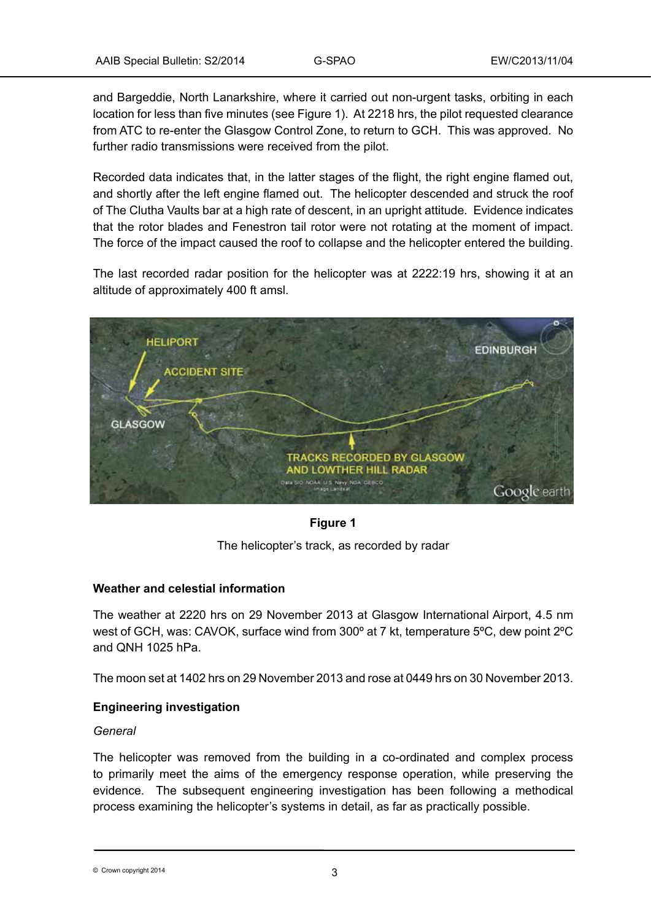and Bargeddie, North Lanarkshire, where it carried out non-urgent tasks, orbiting in each location for less than five minutes (see Figure 1). At 2218 hrs, the pilot requested clearance from ATC to re-enter the Glasgow Control Zone, to return to GCH. This was approved. No further radio transmissions were received from the pilot.

Recorded data indicates that, in the latter stages of the flight, the right engine flamed out, and shortly after the left engine flamed out. The helicopter descended and struck the roof of The Clutha Vaults bar at a high rate of descent, in an upright attitude. Evidence indicates that the rotor blades and Fenestron tail rotor were not rotating at the moment of impact. The force of the impact caused the roof to collapse and the helicopter entered the building.

The last recorded radar position for the helicopter was at 2222:19 hrs, showing it at an altitude of approximately 400 ft amsl.



# **Figure 1**

The helicopter's track, as recorded by radar

# **Weather and celestial information**

The weather at 2220 hrs on 29 November 2013 at Glasgow International Airport, 4.5 nm west of GCH, was: CAVOK, surface wind from 300º at 7 kt, temperature 5ºC, dew point 2ºC and QNH 1025 hPa.

The moon set at 1402 hrs on 29 November 2013 and rose at 0449 hrs on 30 November 2013.

# **Engineering investigation**

#### *General*

The helicopter was removed from the building in a co-ordinated and complex process to primarily meet the aims of the emergency response operation, while preserving the evidence. The subsequent engineering investigation has been following a methodical process examining the helicopter's systems in detail, as far as practically possible.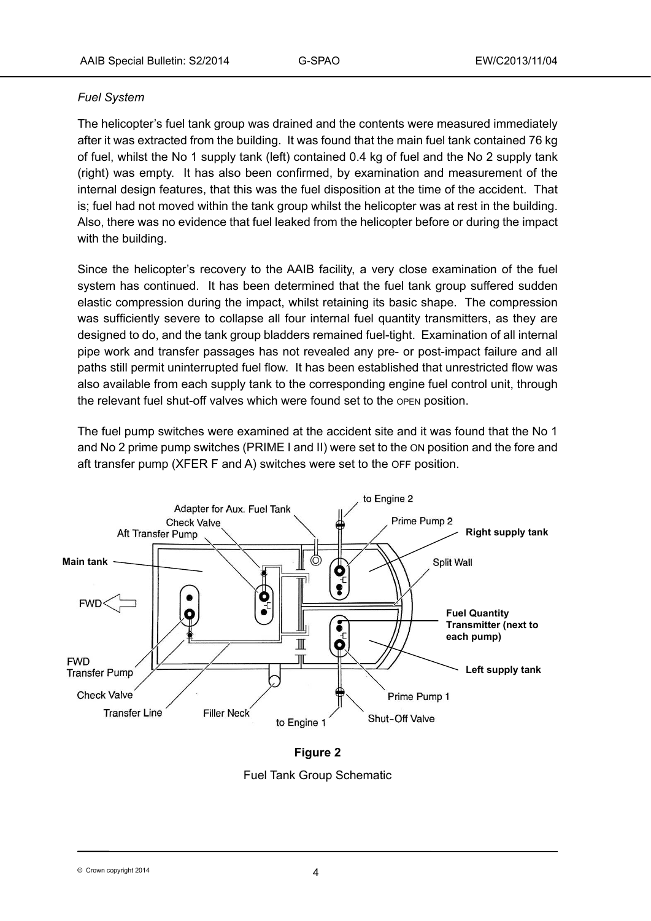# *Fuel System*

The helicopter's fuel tank group was drained and the contents were measured immediately after it was extracted from the building. It was found that the main fuel tank contained 76 kg of fuel, whilst the No 1 supply tank (left) contained 0.4 kg of fuel and the No 2 supply tank (right) was empty. It has also been confirmed, by examination and measurement of the internal design features, that this was the fuel disposition at the time of the accident. That is; fuel had not moved within the tank group whilst the helicopter was at rest in the building. Also, there was no evidence that fuel leaked from the helicopter before or during the impact with the building.

Since the helicopter's recovery to the AAIB facility, a very close examination of the fuel system has continued. It has been determined that the fuel tank group suffered sudden elastic compression during the impact, whilst retaining its basic shape. The compression was sufficiently severe to collapse all four internal fuel quantity transmitters, as they are designed to do, and the tank group bladders remained fuel-tight. Examination of all internal pipe work and transfer passages has not revealed any pre- or post-impact failure and all paths still permit uninterrupted fuel flow. It has been established that unrestricted flow was also available from each supply tank to the corresponding engine fuel control unit, through the relevant fuel shut-off valves which were found set to the open position.

The fuel pump switches were examined at the accident site and it was found that the No 1 and No 2 prime pump switches (PRIME I and II) were set to the ON position and the fore and aft transfer pump (XFER F and A) switches were set to the OFF position.



**Figure 2**  Fuel Tank Group Schematic

<sup>©</sup> Crown copyright 2014 4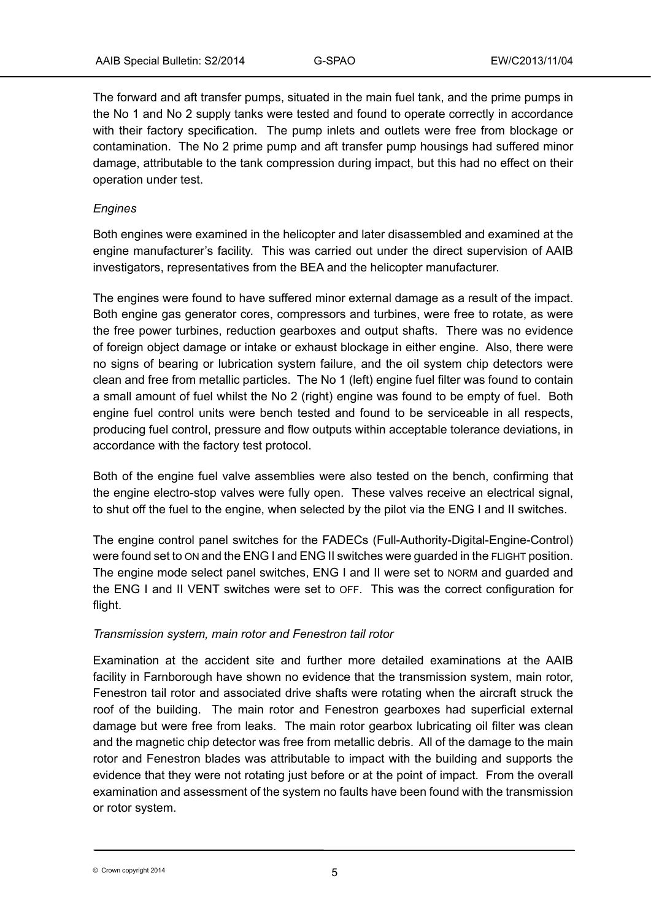The forward and aft transfer pumps, situated in the main fuel tank, and the prime pumps in the No 1 and No 2 supply tanks were tested and found to operate correctly in accordance with their factory specification. The pump inlets and outlets were free from blockage or contamination. The No 2 prime pump and aft transfer pump housings had suffered minor damage, attributable to the tank compression during impact, but this had no effect on their operation under test.

## *Engines*

Both engines were examined in the helicopter and later disassembled and examined at the engine manufacturer's facility. This was carried out under the direct supervision of AAIB investigators, representatives from the BEA and the helicopter manufacturer.

The engines were found to have suffered minor external damage as a result of the impact. Both engine gas generator cores, compressors and turbines, were free to rotate, as were the free power turbines, reduction gearboxes and output shafts. There was no evidence of foreign object damage or intake or exhaust blockage in either engine. Also, there were no signs of bearing or lubrication system failure, and the oil system chip detectors were clean and free from metallic particles. The No 1 (left) engine fuel filter was found to contain a small amount of fuel whilst the No 2 (right) engine was found to be empty of fuel. Both engine fuel control units were bench tested and found to be serviceable in all respects, producing fuel control, pressure and flow outputs within acceptable tolerance deviations, in accordance with the factory test protocol.

Both of the engine fuel valve assemblies were also tested on the bench, confirming that the engine electro-stop valves were fully open. These valves receive an electrical signal, to shut off the fuel to the engine, when selected by the pilot via the ENG I and II switches.

The engine control panel switches for the FADECs (Full-Authority-Digital-Engine-Control) were found set to ON and the ENG I and ENG II switches were guarded in the FLIGHT position. The engine mode select panel switches, ENG I and II were set to NORM and guarded and the ENG I and II VENT switches were set to OFF. This was the correct configuration for flight.

# *Transmission system, main rotor and Fenestron tail rotor*

Examination at the accident site and further more detailed examinations at the AAIB facility in Farnborough have shown no evidence that the transmission system, main rotor, Fenestron tail rotor and associated drive shafts were rotating when the aircraft struck the roof of the building. The main rotor and Fenestron gearboxes had superficial external damage but were free from leaks. The main rotor gearbox lubricating oil filter was clean and the magnetic chip detector was free from metallic debris. All of the damage to the main rotor and Fenestron blades was attributable to impact with the building and supports the evidence that they were not rotating just before or at the point of impact. From the overall examination and assessment of the system no faults have been found with the transmission or rotor system.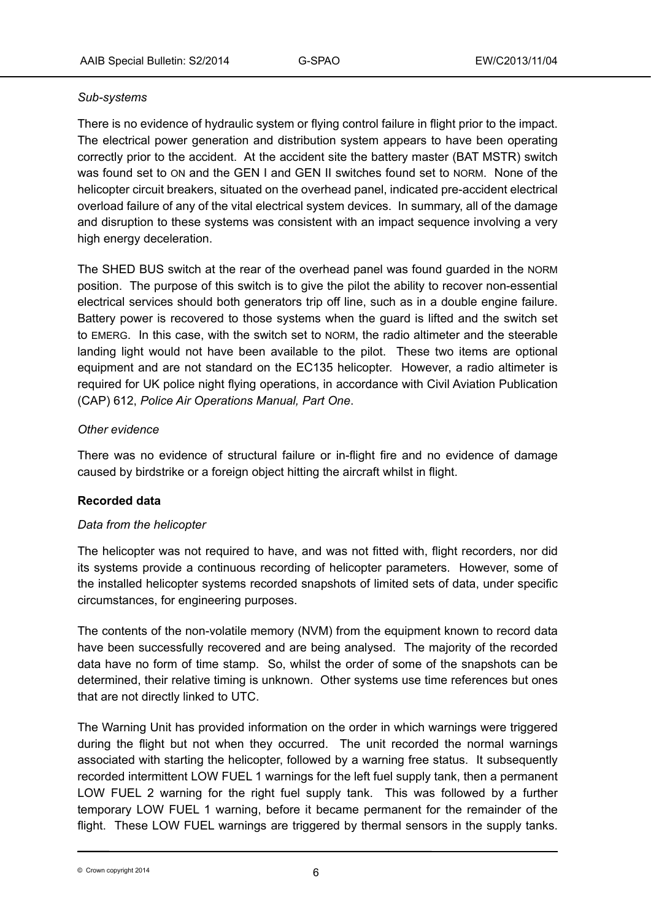## *Sub-systems*

There is no evidence of hydraulic system or flying control failure in flight prior to the impact. The electrical power generation and distribution system appears to have been operating correctly prior to the accident. At the accident site the battery master (BAT MSTR) switch was found set to ON and the GEN I and GEN II switches found set to NORM. None of the helicopter circuit breakers, situated on the overhead panel, indicated pre-accident electrical overload failure of any of the vital electrical system devices. In summary, all of the damage and disruption to these systems was consistent with an impact sequence involving a very high energy deceleration.

The SHED BUS switch at the rear of the overhead panel was found guarded in the NORM position. The purpose of this switch is to give the pilot the ability to recover non-essential electrical services should both generators trip off line, such as in a double engine failure. Battery power is recovered to those systems when the guard is lifted and the switch set to EMERG. In this case, with the switch set to NORM, the radio altimeter and the steerable landing light would not have been available to the pilot. These two items are optional equipment and are not standard on the EC135 helicopter. However, a radio altimeter is required for UK police night flying operations, in accordance with Civil Aviation Publication (CAP) 612, *Police Air Operations Manual, Part One*.

## *Other evidence*

There was no evidence of structural failure or in-flight fire and no evidence of damage caused by birdstrike or a foreign object hitting the aircraft whilst in flight.

# **Recorded data**

# *Data from the helicopter*

The helicopter was not required to have, and was not fitted with, flight recorders, nor did its systems provide a continuous recording of helicopter parameters. However, some of the installed helicopter systems recorded snapshots of limited sets of data, under specific circumstances, for engineering purposes.

The contents of the non-volatile memory (NVM) from the equipment known to record data have been successfully recovered and are being analysed. The majority of the recorded data have no form of time stamp. So, whilst the order of some of the snapshots can be determined, their relative timing is unknown. Other systems use time references but ones that are not directly linked to UTC.

The Warning Unit has provided information on the order in which warnings were triggered during the flight but not when they occurred. The unit recorded the normal warnings associated with starting the helicopter, followed by a warning free status. It subsequently recorded intermittent LOW FUEL 1 warnings for the left fuel supply tank, then a permanent LOW FUEL 2 warning for the right fuel supply tank. This was followed by a further temporary LOW FUEL 1 warning, before it became permanent for the remainder of the flight. These LOW FUEL warnings are triggered by thermal sensors in the supply tanks.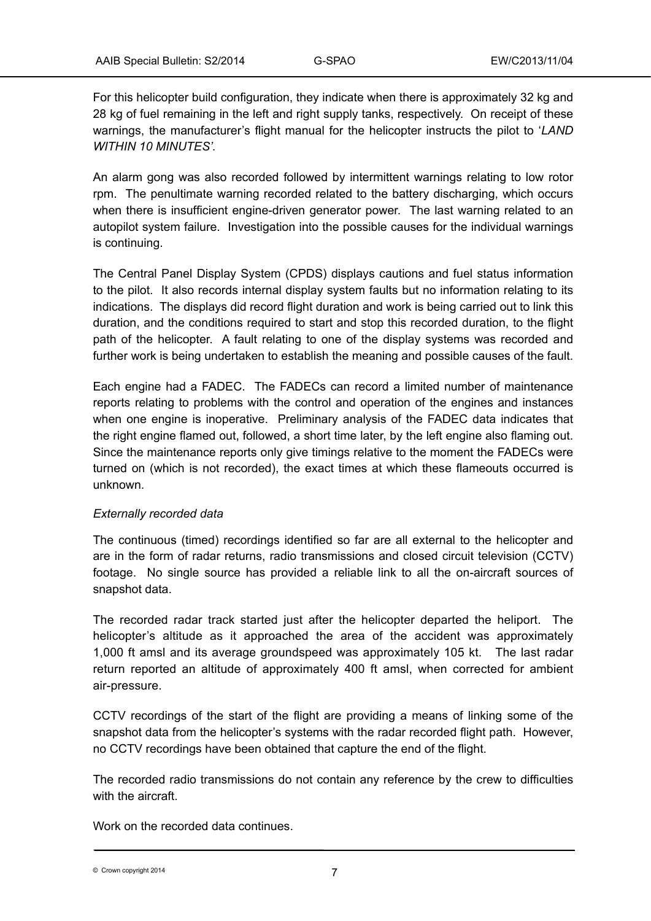For this helicopter build configuration, they indicate when there is approximately 32 kg and 28 kg of fuel remaining in the left and right supply tanks, respectively. On receipt of these warnings, the manufacturer's flight manual for the helicopter instructs the pilot to '*LAND WITHIN 10 MINUTES'.*

An alarm gong was also recorded followed by intermittent warnings relating to low rotor rpm. The penultimate warning recorded related to the battery discharging, which occurs when there is insufficient engine-driven generator power. The last warning related to an autopilot system failure. Investigation into the possible causes for the individual warnings is continuing.

The Central Panel Display System (CPDS) displays cautions and fuel status information to the pilot. It also records internal display system faults but no information relating to its indications. The displays did record flight duration and work is being carried out to link this duration, and the conditions required to start and stop this recorded duration, to the flight path of the helicopter. A fault relating to one of the display systems was recorded and further work is being undertaken to establish the meaning and possible causes of the fault.

Each engine had a FADEC. The FADECs can record a limited number of maintenance reports relating to problems with the control and operation of the engines and instances when one engine is inoperative. Preliminary analysis of the FADEC data indicates that the right engine flamed out, followed, a short time later, by the left engine also flaming out. Since the maintenance reports only give timings relative to the moment the FADECs were turned on (which is not recorded), the exact times at which these flameouts occurred is unknown.

# *Externally recorded data*

The continuous (timed) recordings identified so far are all external to the helicopter and are in the form of radar returns, radio transmissions and closed circuit television (CCTV) footage. No single source has provided a reliable link to all the on-aircraft sources of snapshot data.

The recorded radar track started just after the helicopter departed the heliport. The helicopter's altitude as it approached the area of the accident was approximately 1,000 ft amsl and its average groundspeed was approximately 105 kt. The last radar return reported an altitude of approximately 400 ft amsl, when corrected for ambient air-pressure.

CCTV recordings of the start of the flight are providing a means of linking some of the snapshot data from the helicopter's systems with the radar recorded flight path. However, no CCTV recordings have been obtained that capture the end of the flight.

The recorded radio transmissions do not contain any reference by the crew to difficulties with the aircraft.

Work on the recorded data continues.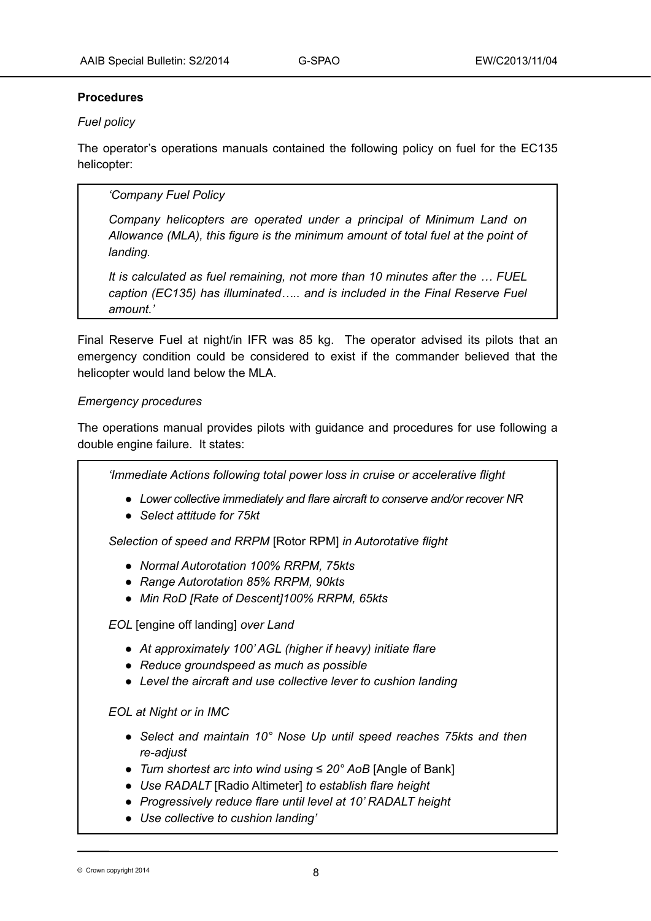## **Procedures**

# *Fuel policy*

The operator's operations manuals contained the following policy on fuel for the EC135 helicopter:

# *'Company Fuel Policy*

*Company helicopters are operated under a principal of Minimum Land on Allowance (MLA), this figure is the minimum amount of total fuel at the point of landing.*

*It is calculated as fuel remaining, not more than 10 minutes after the … FUEL caption (EC135) has illuminated….. and is included in the Final Reserve Fuel amount.'*

Final Reserve Fuel at night/in IFR was 85 kg. The operator advised its pilots that an emergency condition could be considered to exist if the commander believed that the helicopter would land below the MLA.

## *Emergency procedures*

The operations manual provides pilots with guidance and procedures for use following a double engine failure. It states:

*'Immediate Actions following total power loss in cruise or accelerative flight ● Lower collective immediately and flare aircraft to conserve and/or recover NR ● Select attitude for 75kt Selection of speed and RRPM* [Rotor RPM] *in Autorotative flight ● Normal Autorotation 100% RRPM, 75kts ● Range Autorotation 85% RRPM, 90kts ● Min RoD [Rate of Descent]100% RRPM, 65kts EOL* [engine off landing] *over Land ● At approximately 100' AGL (higher if heavy) initiate flare ● Reduce groundspeed as much as possible ● Level the aircraft and use collective lever to cushion landing EOL at Night or in IMC ● Select and maintain 10° Nose Up until speed reaches 75kts and then re-adjust ● Turn shortest arc into wind using ≤ 20° AoB* [Angle of Bank] *● Use RADALT* [Radio Altimeter] *to establish flare height ● Progressively reduce flare until level at 10' RADALT height ● Use collective to cushion landing'*